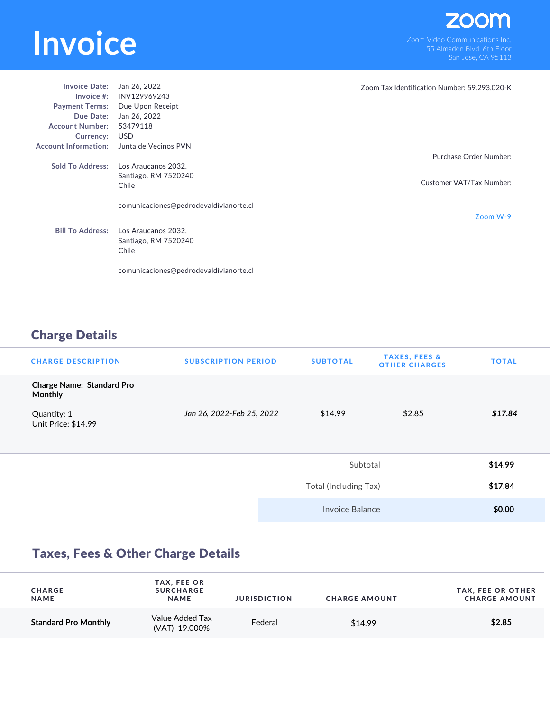## **INVOICE**<br>
Som Video Communications Inc.<br>
San Jose CA 95113

| <b>Invoice Date:</b>        | Jan 26, 2022                           | Zoom Tax Identification Number: 59.293.020-K |
|-----------------------------|----------------------------------------|----------------------------------------------|
| Invoice $#$ :               | INV129969243                           |                                              |
|                             | Payment Terms: Due Upon Receipt        |                                              |
| Due Date:                   | Jan 26, 2022                           |                                              |
| <b>Account Number:</b>      | 53479118                               |                                              |
| Currency:                   | USD                                    |                                              |
| <b>Account Information:</b> | Junta de Vecinos PVN                   |                                              |
|                             |                                        | Purchase Order Number:                       |
| <b>Sold To Address:</b>     | Los Araucanos 2032.                    |                                              |
|                             | Santiago, RM 7520240                   |                                              |
|                             | Chile                                  | Customer VAT/Tax Number:                     |
|                             |                                        |                                              |
|                             | comunicaciones@pedrodevaldivianorte.cl |                                              |
|                             |                                        | Zoom W-9                                     |
| <b>Bill To Address:</b>     | Los Araucanos 2032,                    |                                              |
|                             |                                        |                                              |
|                             | Santiago, RM 7520240                   |                                              |
|                             | Chile                                  |                                              |
|                             |                                        |                                              |
|                             | comunicaciones@pedrodevaldivianorte.cl |                                              |

## Charge Details

| <b>CHARGE DESCRIPTION</b>                          | <b>SUBSCRIPTION PERIOD</b> | <b>SUBTOTAL</b>       | <b>TAXES, FEES &amp;</b><br><b>OTHER CHARGES</b> | <b>TOTAL</b> |
|----------------------------------------------------|----------------------------|-----------------------|--------------------------------------------------|--------------|
| <b>Charge Name: Standard Pro</b><br><b>Monthly</b> |                            |                       |                                                  |              |
| Quantity: 1<br>Unit Price: \$14.99                 | Jan 26, 2022-Feb 25, 2022  | \$14.99               | \$2.85                                           | \$17.84      |
|                                                    |                            | Subtotal              |                                                  | \$14.99      |
|                                                    |                            | Total (Including Tax) |                                                  | \$17.84      |
|                                                    |                            | Invoice Balance       |                                                  | \$0.00       |

## Taxes, Fees & Other Charge Details

| <b>CHARGE</b><br><b>NAME</b> | TAX, FEE OR<br><b>SURCHARGE</b><br><b>NAME</b> | <b>JURISDICTION</b> | <b>CHARGE AMOUNT</b> | <b>TAX, FEE OR OTHER</b><br><b>CHARGE AMOUNT</b> |
|------------------------------|------------------------------------------------|---------------------|----------------------|--------------------------------------------------|
| <b>Standard Pro Monthly</b>  | Value Added Tax<br>(VAT) 19,000%               | Federal             | \$14.99              | \$2.85                                           |